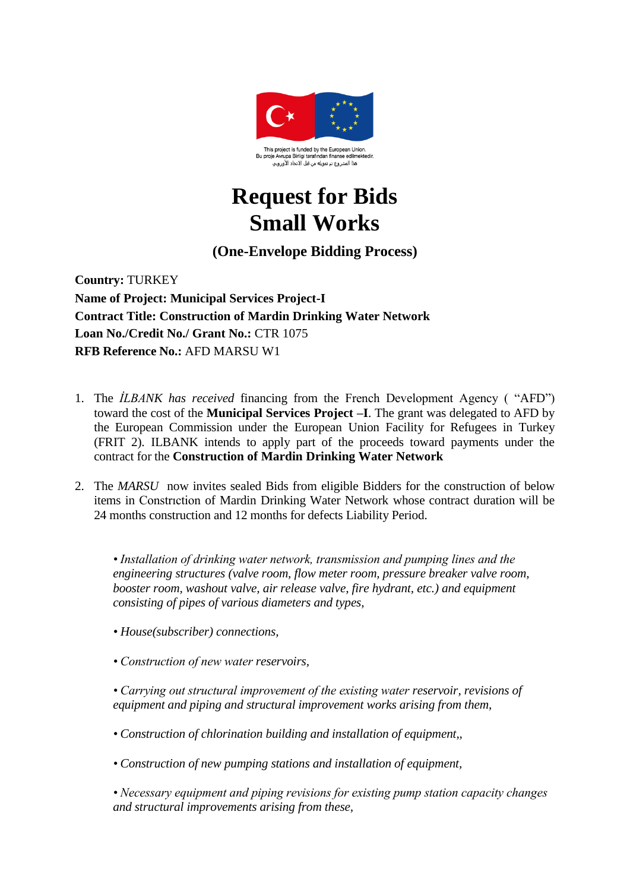

## **Request for Bids Small Works**

## **(One-Envelope Bidding Process)**

**Country:** TURKEY **Name of Project: Municipal Services Project-I Contract Title: Construction of Mardin Drinking Water Network Loan No./Credit No./ Grant No.:** CTR 1075 **RFB Reference No.:** AFD MARSU W1

- 1. The *İLBANK has received* financing from the French Development Agency ( "AFD") toward the cost of the **Municipal Services Project –I**. The grant was delegated to AFD by the European Commission under the European Union Facility for Refugees in Turkey (FRIT 2). ILBANK intends to apply part of the proceeds toward payments under the contract for the **Construction of Mardin Drinking Water Network**
- 2. The *MARSU* now invites sealed Bids from eligible Bidders for the construction of below items in Constrıction of Mardin Drinking Water Network whose contract duration will be 24 months construction and 12 months for defects Liability Period.

*• Installation of drinking water network, transmission and pumping lines and the engineering structures (valve room, flow meter room, pressure breaker valve room, booster room, washout valve, air release valve, fire hydrant, etc.) and equipment consisting of pipes of various diameters and types,*

- *• House(subscriber) connections,*
- *Construction of new water reservoirs,*

*• Carrying out structural improvement of the existing water reservoir, revisions of equipment and piping and structural improvement works arising from them,*

- *Construction of chlorination building and installation of equipment,,*
- *Construction of new pumping stations and installation of equipment,*

*• Necessary equipment and piping revisions for existing pump station capacity changes and structural improvements arising from these,*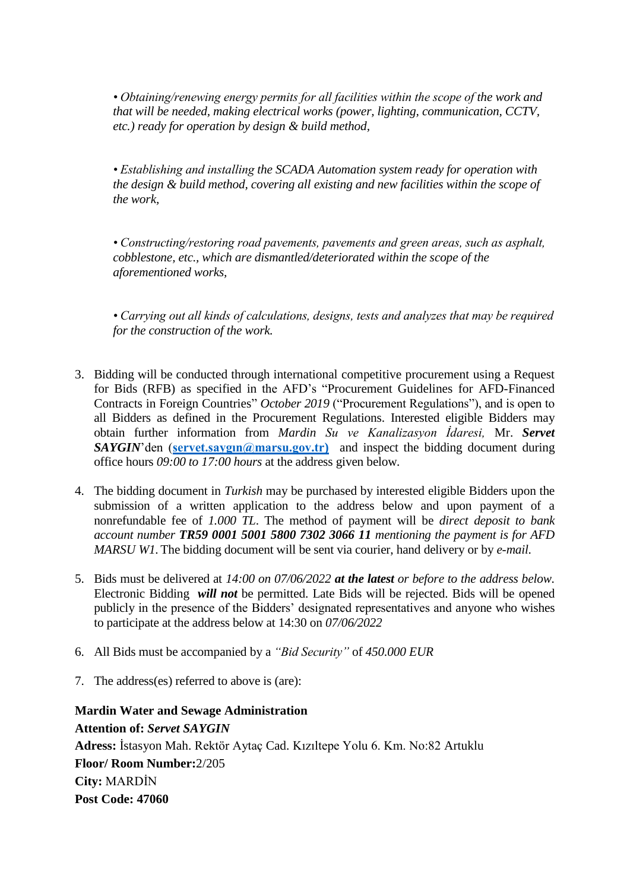*• Obtaining/renewing energy permits for all facilities within the scope of the work and that will be needed, making electrical works (power, lighting, communication, CCTV, etc.) ready for operation by design & build method,*

*• Establishing and installing the SCADA Automation system ready for operation with the design & build method, covering all existing and new facilities within the scope of the work,*

*• Constructing/restoring road pavements, pavements and green areas, such as asphalt, cobblestone, etc., which are dismantled/deteriorated within the scope of the aforementioned works,*

*• Carrying out all kinds of calculations, designs, tests and analyzes that may be required for the construction of the work.*

- 3. Bidding will be conducted through international competitive procurement using a Request for Bids (RFB) as specified in the AFD's "Procurement Guidelines for AFD-Financed Contracts in Foreign Countries" *October 2019* ("Procurement Regulations"), and is open to all Bidders as defined in the Procurement Regulations. Interested eligible Bidders may obtain further information from *Mardin Su ve Kanalizasyon İdaresi,* Mr. *Servet*  **SAYGIN'den** (**servet.saygin@marsu.gov.tr**) and inspect the bidding document during office hours *09:00 to 17:00 hours* at the address given below*.*
- 4. The bidding document in *Turkish* may be purchased by interested eligible Bidders upon the submission of a written application to the address below and upon payment of a nonrefundable fee of *1.000 TL*. The method of payment will be *direct deposit to bank account number TR59 0001 5001 5800 7302 3066 11 mentioning the payment is for AFD MARSU W1.*The bidding document will be sent via courier, hand delivery or by *e-mail.*
- 5. Bids must be delivered at *14:00 on 07/06/2022 at the latest or before to the address below.* Electronic Bidding *will not* be permitted. Late Bids will be rejected. Bids will be opened publicly in the presence of the Bidders' designated representatives and anyone who wishes to participate at the address below at 14:30 on *07/06/2022*
- 6. All Bids must be accompanied by a *"Bid Security"* of *450.000 EUR*
- 7. The address(es) referred to above is (are):

**Mardin Water and Sewage Administration Attention of:** *Servet SAYGIN* **Adress:** İstasyon Mah. Rektör Aytaç Cad. Kızıltepe Yolu 6. Km. No:82 Artuklu **Floor/ Room Number:**2/205 **City:** MARDİN **Post Code: 47060**